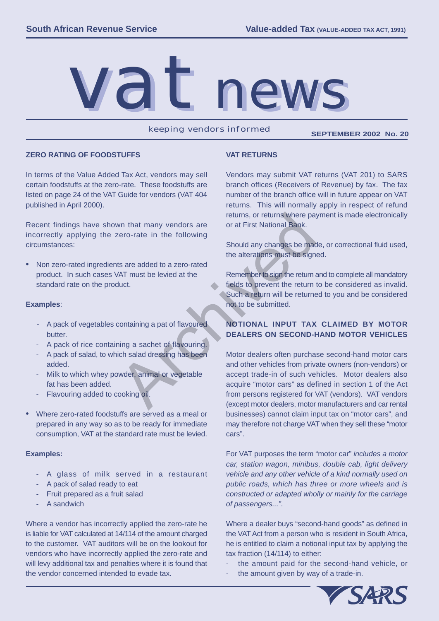

keeping vendors informed **SEPTEMBER 2002 No. 20**

#### **ZERO RATING OF FOODSTUFFS**

In terms of the Value Added Tax Act, vendors may sell certain foodstuffs at the zero-rate. These foodstuffs are listed on page 24 of the VAT Guide for vendors (VAT 404 published in April 2000).

Recent findings have shown that many vendors are incorrectly applying the zero-rate in the following circumstances:

Non zero-rated ingredients are added to a zero-rated product. In such cases VAT must be levied at the standard rate on the product.

## **Examples**:

- A pack of vegetables containing a pat of flavoured butter.
- A pack of rice containing a sachet of flavouring.
- A pack of salad, to which salad dressing has been added.
- Milk to which whey powder, animal or vegetable fat has been added.
- Flavouring added to cooking oil.
- Where zero-rated foodstuffs are served as a meal or prepared in any way so as to be ready for immediate consumption, VAT at the standard rate must be levied.

## **Examples:**

- - A glass of milk served in a restaurant
- A pack of salad ready to eat
- Fruit prepared as a fruit salad
- A sandwich

Where a vendor has incorrectly applied the zero-rate he is liable for VAT calculated at 14/114 of the amount charged to the customer. VAT auditors will be on the lookout for vendors who have incorrectly applied the zero-rate and will levy additional tax and penalties where it is found that the vendor concerned intended to evade tax. 

## **VAT RETURNS**

Vendors may submit VAT returns (VAT 201) to SARS branch offices (Receivers of Revenue) by fax. The fax number of the branch office will in future appear on VAT returns. This will normally apply in respect of refund returns, or returns where payment is made electronically or at First National Bank.

Should any changes be made, or correctional fluid used, the alterations must be signed. 

Remember to sign the return and to complete all mandatory fields to prevent the return to be considered as invalid. Such a return will be returned to you and be considered not to be submitted. 

# **NOTIONAL INPUT TAX CLAIMED BY MOTOR DEALERS ON SECOND-HAND MOTOR VEHICLES**

Motor dealers often purchase second-hand motor cars and other vehicles from private owners (non-vendors) or accept trade-in of such vehicles. Motor dealers also acquire "motor cars" as defined in section 1 of the Act from persons registered for VAT (vendors). VAT vendors (except motor dealers, motor manufacturers and car rental businesses) cannot claim input tax on "motor cars", and may therefore not charge VAT when they sell these "motor cars". returns, or returns where pay<br>
that many vendors are<br>
or at First National Bank.<br>
Should any changes be made<br>
the alterations must be sign<br>
the alterations must be sign<br>
the alterations must be sign<br>
the alterations must b

> For VAT purposes the term "motor car" *includes a motor car, station wagon, minibus, double cab, light delivery vehicle and any other vehicle of a kind normally used on public roads, which has three or more wheels and is constructed or adapted wholly or mainly for the carriage of passengers..."*.

> Where a dealer buys "second-hand goods" as defined in the VAT Act from a person who is resident in South Africa, he is entitled to claim a notional input tax by applying the tax fraction (14/114) to either:

- the amount paid for the second-hand vehicle, or
- the amount given by way of a trade-in.